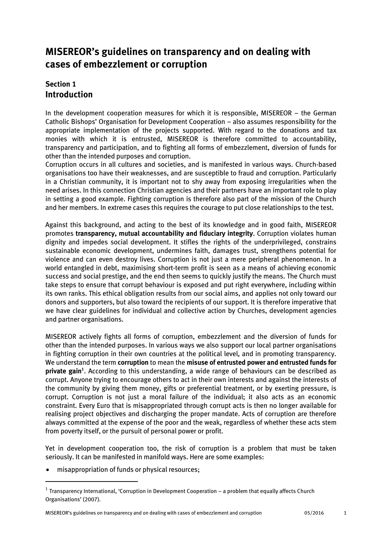# **MISEREOR's guidelines on transparency and on dealing with cases of embezzlement or corruption**

# **Section 1 Introduction**

In the development cooperation measures for which it is responsible, MISEREOR – the German Catholic Bishops' Organisation for Development Cooperation – also assumes responsibility for the appropriate implementation of the projects supported. With regard to the donations and tax monies with which it is entrusted, MISEREOR is therefore committed to accountability, transparency and participation, and to fighting all forms of embezzlement, diversion of funds for other than the intended purposes and corruption.

Corruption occurs in all cultures and societies, and is manifested in various ways. Church-based organisations too have their weaknesses, and are susceptible to fraud and corruption. Particularly in a Christian community, it is important not to shy away from exposing irregularities when the need arises. In this connection Christian agencies and their partners have an important role to play in setting a good example. Fighting corruption is therefore also part of the mission of the Church and her members. In extreme cases this requires the courage to put close relationships to the test.

Against this background, and acting to the best of its knowledge and in good faith, MISEREOR promotes **transparency, mutual accountability and fiduciary integrity**. Corruption violates human dignity and impedes social development. It stifles the rights of the underprivileged, constrains sustainable economic development, undermines faith, damages trust, strengthens potential for violence and can even destroy lives. Corruption is not just a mere peripheral phenomenon. In a world entangled in debt, maximising short-term profit is seen as a means of achieving economic success and social prestige, and the end then seems to quickly justify the means. The Church must take steps to ensure that corrupt behaviour is exposed and put right everywhere, including within its own ranks. This ethical obligation results from our social aims, and applies not only toward our donors and supporters, but also toward the recipients of our support. It is therefore imperative that we have clear guidelines for individual and collective action by Churches, development agencies and partner organisations.

MISEREOR actively fights all forms of corruption, embezzlement and the diversion of funds for other than the intended purposes. In various ways we also support our local partner organisations in fighting corruption in their own countries at the political level, and in promoting transparency. We understand the term **corruption** to mean the **misuse of entrusted power and entrusted funds for private gain<sup>1</sup>** . According to this understanding, a wide range of behaviours can be described as corrupt. Anyone trying to encourage others to act in their own interests and against the interests of the community by giving them money, gifts or preferential treatment, or by exerting pressure, is corrupt. Corruption is not just a moral failure of the individual; it also acts as an economic constraint. Every Euro that is misappropriated through corrupt acts is then no longer available for realising project objectives and discharging the proper mandate. Acts of corruption are therefore always committed at the expense of the poor and the weak, regardless of whether these acts stem from poverty itself, or the pursuit of personal power or profit.

Yet in development cooperation too, the risk of corruption is a problem that must be taken seriously. It can be manifested in manifold ways. Here are some examples:

misappropriation of funds or physical resources;

1

 $^{\rm 1}$  Transparency International, 'Corruption in Development Cooperation – a problem that equally affects Church Organisations' (2007).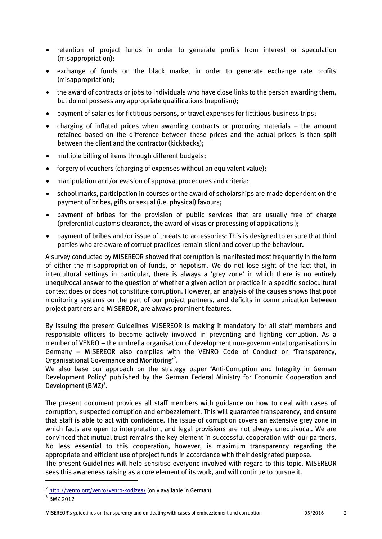- retention of project funds in order to generate profits from interest or speculation (misappropriation);
- exchange of funds on the black market in order to generate exchange rate profits (misappropriation);
- the award of contracts or jobs to individuals who have close links to the person awarding them, but do not possess any appropriate qualifications (nepotism);
- payment of salaries for fictitious persons, or travel expenses for fictitious business trips;
- charging of inflated prices when awarding contracts or procuring materials the amount retained based on the difference between these prices and the actual prices is then split between the client and the contractor (kickbacks);
- multiple billing of items through different budgets;
- forgery of vouchers (charging of expenses without an equivalent value);
- manipulation and/or evasion of approval procedures and criteria;
- school marks, participation in courses or the award of scholarships are made dependent on the payment of bribes, gifts or sexual (i.e. physical) favours;
- payment of bribes for the provision of public services that are usually free of charge (preferential customs clearance, the award of visas or processing of applications );
- payment of bribes and/or issue of threats to accessories: This is designed to ensure that third parties who are aware of corrupt practices remain silent and cover up the behaviour.

A survey conducted by MISEREOR showed that corruption is manifested most frequently in the form of either the misappropriation of funds, or nepotism. We do not lose sight of the fact that, in intercultural settings in particular, there is always a 'grey zone' in which there is no entirely unequivocal answer to the question of whether a given action or practice in a specific sociocultural context does or does not constitute corruption. However, an analysis of the causes shows that poor monitoring systems on the part of our project partners, and deficits in communication between project partners and MISEREOR, are always prominent features.

By issuing the present Guidelines MISEREOR is making it mandatory for all staff members and responsible officers to become actively involved in preventing and fighting corruption. As a member of VENRO – the umbrella organisation of development non-governmental organisations in Germany – MISEREOR also complies with the VENRO Code of Conduct on 'Transparency, Organisational Governance and Monitoring<sup>32</sup>.

We also base our approach on the strategy paper 'Anti-Corruption and Integrity in German Development Policy' published by the German Federal Ministry for Economic Cooperation and Development (BMZ)<sup>3</sup>.

The present document provides all staff members with guidance on how to deal with cases of corruption, suspected corruption and embezzlement. This will guarantee transparency, and ensure that staff is able to act with confidence. The issue of corruption covers an extensive grey zone in which facts are open to interpretation, and legal provisions are not always unequivocal. We are convinced that mutual trust remains the key element in successful cooperation with our partners. No less essential to this cooperation, however, is maximum transparency regarding the appropriate and efficient use of project funds in accordance with their designated purpose.

The present Guidelines will help sensitise everyone involved with regard to this topic. MISEREOR sees this awareness raising as a core element of its work, and will continue to pursue it.

-

<sup>&</sup>lt;sup>2</sup> <http://venro.org/venro/venro-kodizes/> (only available in German)

<sup>3</sup> BMZ 2012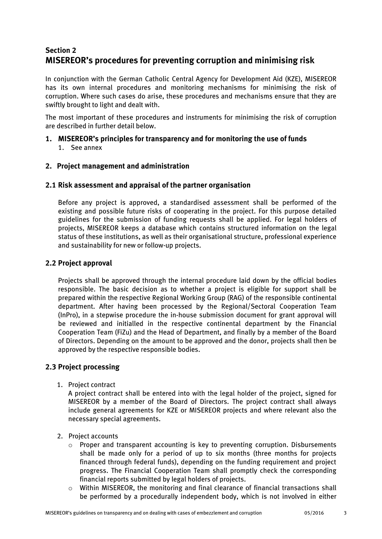# **Section 2 MISEREOR's procedures for preventing corruption and minimising risk**

In conjunction with the German Catholic Central Agency for Development Aid (KZE), MISEREOR has its own internal procedures and monitoring mechanisms for minimising the risk of corruption. Where such cases do arise, these procedures and mechanisms ensure that they are swiftly brought to light and dealt with.

The most important of these procedures and instruments for minimising the risk of corruption are described in further detail below.

## **1. MISEREOR's principles for transparency and for monitoring the use of funds** 1. See annex

# **2. Project management and administration**

# **2.1 Risk assessment and appraisal of the partner organisation**

Before any project is approved, a standardised assessment shall be performed of the existing and possible future risks of cooperating in the project. For this purpose detailed guidelines for the submission of funding requests shall be applied. For legal holders of projects, MISEREOR keeps a database which contains structured information on the legal status of these institutions, as well as their organisational structure, professional experience and sustainability for new or follow-up projects.

# **2.2 Project approval**

Projects shall be approved through the internal procedure laid down by the official bodies responsible. The basic decision as to whether a project is eligible for support shall be prepared within the respective Regional Working Group (RAG) of the responsible continental department. After having been processed by the Regional/Sectoral Cooperation Team (InPro), in a stepwise procedure the in-house submission document for grant approval will be reviewed and initialled in the respective continental department by the Financial Cooperation Team (FiZu) and the Head of Department, and finally by a member of the Board of Directors. Depending on the amount to be approved and the donor, projects shall then be approved by the respective responsible bodies.

## **2.3 Project processing**

1. Project contract

A project contract shall be entered into with the legal holder of the project, signed for MISEREOR by a member of the Board of Directors. The project contract shall always include general agreements for KZE or MISEREOR projects and where relevant also the necessary special agreements.

- 2. Project accounts
	- $\circ$  Proper and transparent accounting is key to preventing corruption. Disbursements shall be made only for a period of up to six months (three months for projects financed through federal funds), depending on the funding requirement and project progress. The Financial Cooperation Team shall promptly check the corresponding financial reports submitted by legal holders of projects.
	- o Within MISEREOR, the monitoring and final clearance of financial transactions shall be performed by a procedurally independent body, which is not involved in either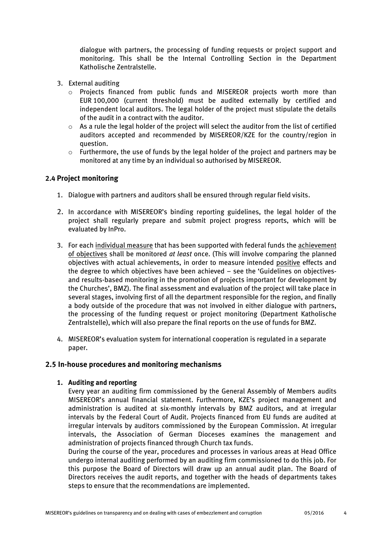dialogue with partners, the processing of funding requests or project support and monitoring. This shall be the Internal Controlling Section in the Department Katholische Zentralstelle.

- 3. External auditing
	- $\circ$  Projects financed from public funds and MISEREOR projects worth more than EUR 100,000 (current threshold) must be audited externally by certified and independent local auditors. The legal holder of the project must stipulate the details of the audit in a contract with the auditor.
	- o As a rule the legal holder of the project will select the auditor from the list of certified auditors accepted and recommended by MISEREOR/KZE for the country/region in question.
	- $\circ$  Furthermore, the use of funds by the legal holder of the project and partners may be monitored at any time by an individual so authorised by MISEREOR.

# **2.4 Project monitoring**

- 1. Dialogue with partners and auditors shall be ensured through regular field visits.
- 2. In accordance with MISEREOR's binding reporting guidelines, the legal holder of the project shall regularly prepare and submit project progress reports, which will be evaluated by InPro.
- 3. For each individual measure that has been supported with federal funds the achievement of objectives shall be monitored *at least* once. (This will involve comparing the planned objectives with actual achievements, in order to measure intended positive effects and the degree to which objectives have been achieved – see the 'Guidelines on objectivesand results-based monitoring in the promotion of projects important for development by the Churches', BMZ). The final assessment and evaluation of the project will take place in several stages, involving first of all the department responsible for the region, and finally a body outside of the procedure that was not involved in either dialogue with partners, the processing of the funding request or project monitoring (Department Katholische Zentralstelle), which will also prepare the final reports on the use of funds for BMZ.
- 4. MISEREOR's evaluation system for international cooperation is regulated in a separate paper.

## **2.5 In-house procedures and monitoring mechanisms**

## **1. Auditing and reporting**

Every year an auditing firm commissioned by the General Assembly of Members audits MISEREOR's annual financial statement. Furthermore, KZE's project management and administration is audited at six-monthly intervals by BMZ auditors, and at irregular intervals by the Federal Court of Audit. Projects financed from EU funds are audited at irregular intervals by auditors commissioned by the European Commission. At irregular intervals, the Association of German Dioceses examines the management and administration of projects financed through Church tax funds.

During the course of the year, procedures and processes in various areas at Head Office undergo internal auditing performed by an auditing firm commissioned to do this job. For this purpose the Board of Directors will draw up an annual audit plan. The Board of Directors receives the audit reports, and together with the heads of departments takes steps to ensure that the recommendations are implemented.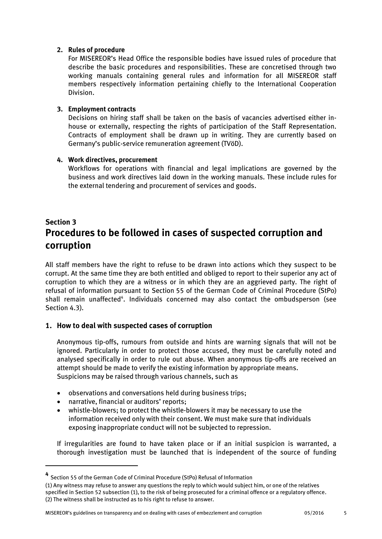## **2. Rules of procedure**

For MISEREOR's Head Office the responsible bodies have issued rules of procedure that describe the basic procedures and responsibilities. These are concretised through two working manuals containing general rules and information for all MISEREOR staff members respectively information pertaining chiefly to the International Cooperation Division.

## **3. Employment contracts**

Decisions on hiring staff shall be taken on the basis of vacancies advertised either inhouse or externally, respecting the rights of participation of the Staff Representation. Contracts of employment shall be drawn up in writing. They are currently based on Germany's public-service remuneration agreement (TVöD).

# **4. Work directives, procurement**

Workflows for operations with financial and legal implications are governed by the business and work directives laid down in the working manuals. These include rules for the external tendering and procurement of services and goods.

# **Section 3 Procedures to be followed in cases of suspected corruption and corruption**

All staff members have the right to refuse to be drawn into actions which they suspect to be corrupt. At the same time they are both entitled and obliged to report to their superior any act of corruption to which they are a witness or in which they are an aggrieved party. The right of refusal of information pursuant to Section 55 of the German Code of Criminal Procedure (StPo) shall remain unaffected<sup>4</sup>. Individuals concerned may also contact the ombudsperson (see Section 4.3).

# **1. How to deal with suspected cases of corruption**

Anonymous tip-offs, rumours from outside and hints are warning signals that will not be ignored. Particularly in order to protect those accused, they must be carefully noted and analysed specifically in order to rule out abuse. When anonymous tip-offs are received an attempt should be made to verify the existing information by appropriate means. Suspicions may be raised through various channels, such as

- observations and conversations held during business trips;
- narrative, financial or auditors' reports;

1

 whistle-blowers; to protect the whistle-blowers it may be necessary to use the information received only with their consent. We must make sure that individuals exposing inappropriate conduct will not be subjected to repression.

If irregularities are found to have taken place or if an initial suspicion is warranted, a thorough investigation must be launched that is independent of the source of funding

**<sup>4</sup>** Section 55 of the German Code of Criminal Procedure (StPo) Refusal of Information

<sup>(1)</sup> Any witness may refuse to answer any questions the reply to which would subject him, or one of the relatives specified in Section 52 subsection (1), to the risk of being prosecuted for a criminal offence or a regulatory offence. (2) The witness shall be instructed as to his right to refuse to answer.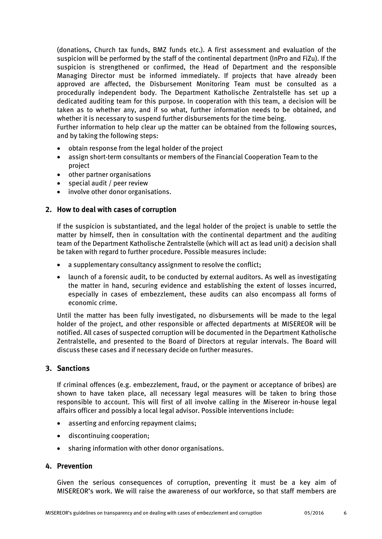(donations, Church tax funds, BMZ funds etc.). A first assessment and evaluation of the suspicion will be performed by the staff of the continental department (InPro and FiZu). If the suspicion is strengthened or confirmed, the Head of Department and the responsible Managing Director must be informed immediately. If projects that have already been approved are affected, the Disbursement Monitoring Team must be consulted as a procedurally independent body. The Department Katholische Zentralstelle has set up a dedicated auditing team for this purpose. In cooperation with this team, a decision will be taken as to whether any, and if so what, further information needs to be obtained, and whether it is necessary to suspend further disbursements for the time being.

Further information to help clear up the matter can be obtained from the following sources, and by taking the following steps:

- obtain response from the legal holder of the project
- assign short-term consultants or members of the Financial Cooperation Team to the project
- other partner organisations
- special audit / peer review
- involve other donor organisations.

# **2. How to deal with cases of corruption**

If the suspicion is substantiated, and the legal holder of the project is unable to settle the matter by himself, then in consultation with the continental department and the auditing team of the Department Katholische Zentralstelle (which will act as lead unit) a decision shall be taken with regard to further procedure. Possible measures include:

- a supplementary consultancy assignment to resolve the conflict;
- launch of a forensic audit, to be conducted by external auditors. As well as investigating the matter in hand, securing evidence and establishing the extent of losses incurred, especially in cases of embezzlement, these audits can also encompass all forms of economic crime.

Until the matter has been fully investigated, no disbursements will be made to the legal holder of the project, and other responsible or affected departments at MISEREOR will be notified. All cases of suspected corruption will be documented in the Department Katholische Zentralstelle, and presented to the Board of Directors at regular intervals. The Board will discuss these cases and if necessary decide on further measures.

## **3. Sanctions**

If criminal offences (e.g. embezzlement, fraud, or the payment or acceptance of bribes) are shown to have taken place, all necessary legal measures will be taken to bring those responsible to account. This will first of all involve calling in the Misereor in-house legal affairs officer and possibly a local legal advisor. Possible interventions include:

- asserting and enforcing repayment claims;
- discontinuing cooperation;
- sharing information with other donor organisations.

## **4. Prevention**

Given the serious consequences of corruption, preventing it must be a key aim of MISEREOR's work. We will raise the awareness of our workforce, so that staff members are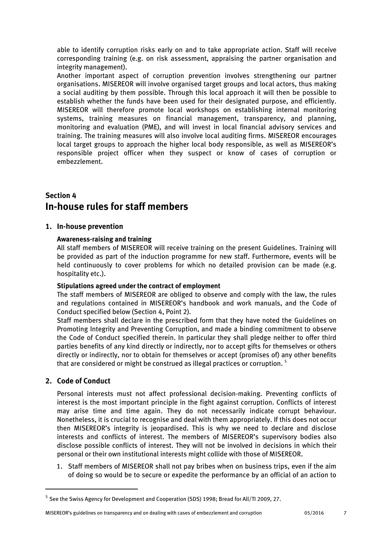able to identify corruption risks early on and to take appropriate action. Staff will receive corresponding training (e.g. on risk assessment, appraising the partner organisation and integrity management).

Another important aspect of corruption prevention involves strengthening our partner organisations. MISEREOR will involve organised target groups and local actors, thus making a social auditing by them possible. Through this local approach it will then be possible to establish whether the funds have been used for their designated purpose, and efficiently. MISEREOR will therefore promote local workshops on establishing internal monitoring systems, training measures on financial management, transparency, and planning, monitoring and evaluation (PME), and will invest in local financial advisory services and training. The training measures will also involve local auditing firms. MISEREOR encourages local target groups to approach the higher local body responsible, as well as MISEREOR's responsible project officer when they suspect or know of cases of corruption or embezzlement.

# **Section 4 In-house rules for staff members**

# **1. In-house prevention**

# **Awareness-raising and training**

All staff members of MISEREOR will receive training on the present Guidelines. Training will be provided as part of the induction programme for new staff. Furthermore, events will be held continuously to cover problems for which no detailed provision can be made (e.g. hospitality etc.).

## **Stipulations agreed under the contract of employment**

The staff members of MISEREOR are obliged to observe and comply with the law, the rules and regulations contained in MISEREOR's handbook and work manuals, and the Code of Conduct specified below (Section 4, Point 2).

Staff members shall declare in the prescribed form that they have noted the Guidelines on Promoting Integrity and Preventing Corruption, and made a binding commitment to observe the Code of Conduct specified therein. In particular they shall pledge neither to offer third parties benefits of any kind directly or indirectly, nor to accept gifts for themselves or others directly or indirectly, nor to obtain for themselves or accept (promises of) any other benefits that are considered or might be construed as illegal practices or corruption.  $^{\rm 5}$ 

# **2. Code of Conduct**

1

Personal interests must not affect professional decision-making. Preventing conflicts of interest is the most important principle in the fight against corruption. Conflicts of interest may arise time and time again. They do not necessarily indicate corrupt behaviour. Nonetheless, it is crucial to recognise and deal with them appropriately. If this does not occur then MISEREOR's integrity is jeopardised. This is why we need to declare and disclose interests and conflicts of interest. The members of MISEREOR's supervisory bodies also disclose possible conflicts of interest. They will not be involved in decisions in which their personal or their own institutional interests might collide with those of MISEREOR.

1. Staff members of MISEREOR shall not pay bribes when on business trips, even if the aim of doing so would be to secure or expedite the performance by an official of an action to

MISEREOR's guidelines on transparency and on dealing with cases of embezzlement and corruption 05/2016 7

<sup>&</sup>lt;sup>5</sup> See the Swiss Agency for Development and Cooperation (SDS) 1998; Bread for All/TI 2009, 27.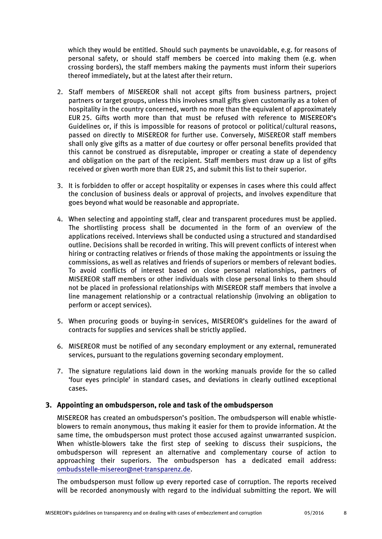which they would be entitled. Should such payments be unavoidable, e.g. for reasons of personal safety, or should staff members be coerced into making them (e.g. when crossing borders), the staff members making the payments must inform their superiors thereof immediately, but at the latest after their return.

- 2. Staff members of MISEREOR shall not accept gifts from business partners, project partners or target groups, unless this involves small gifts given customarily as a token of hospitality in the country concerned, worth no more than the equivalent of approximately EUR 25. Gifts worth more than that must be refused with reference to MISEREOR's Guidelines or, if this is impossible for reasons of protocol or political/cultural reasons, passed on directly to MISEREOR for further use. Conversely, MISEREOR staff members shall only give gifts as a matter of due courtesy or offer personal benefits provided that this cannot be construed as disreputable, improper or creating a state of dependency and obligation on the part of the recipient. Staff members must draw up a list of gifts received or given worth more than EUR 25, and submit this list to their superior.
- 3. It is forbidden to offer or accept hospitality or expenses in cases where this could affect the conclusion of business deals or approval of projects, and involves expenditure that goes beyond what would be reasonable and appropriate.
- 4. When selecting and appointing staff, clear and transparent procedures must be applied. The shortlisting process shall be documented in the form of an overview of the applications received. Interviews shall be conducted using a structured and standardised outline. Decisions shall be recorded in writing. This will prevent conflicts of interest when hiring or contracting relatives or friends of those making the appointments or issuing the commissions, as well as relatives and friends of superiors or members of relevant bodies. To avoid conflicts of interest based on close personal relationships, partners of MISEREOR staff members or other individuals with close personal links to them should not be placed in professional relationships with MISEREOR staff members that involve a line management relationship or a contractual relationship (involving an obligation to perform or accept services).
- 5. When procuring goods or buying-in services, MISEREOR's guidelines for the award of contracts for supplies and services shall be strictly applied.
- 6. MISEREOR must be notified of any secondary employment or any external, remunerated services, pursuant to the regulations governing secondary employment.
- 7. The signature regulations laid down in the working manuals provide for the so called 'four eyes principle' in standard cases, and deviations in clearly outlined exceptional cases.

## **3. Appointing an ombudsperson, role and task of the ombudsperson**

MISEREOR has created an ombudsperson's position. The ombudsperson will enable whistleblowers to remain anonymous, thus making it easier for them to provide information. At the same time, the ombudsperson must protect those accused against unwarranted suspicion. When whistle-blowers take the first step of seeking to discuss their suspicions, the ombudsperson will represent an alternative and complementary course of action to approaching their superiors. The ombudsperson has a dedicated email address: [ombudsstelle-misereor@net-transparenz.de.](mailto:ombudsstelle-misereor@net-transparenz.de)

The ombudsperson must follow up every reported case of corruption. The reports received will be recorded anonymously with regard to the individual submitting the report. We will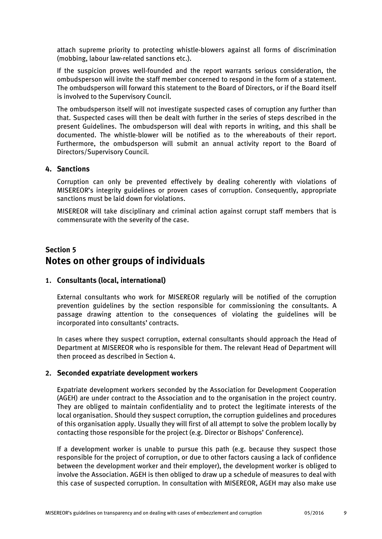attach supreme priority to protecting whistle-blowers against all forms of discrimination (mobbing, labour law-related sanctions etc.).

If the suspicion proves well-founded and the report warrants serious consideration, the ombudsperson will invite the staff member concerned to respond in the form of a statement. The ombudsperson will forward this statement to the Board of Directors, or if the Board itself is involved to the Supervisory Council.

The ombudsperson itself will not investigate suspected cases of corruption any further than that. Suspected cases will then be dealt with further in the series of steps described in the present Guidelines. The ombudsperson will deal with reports in writing, and this shall be documented. The whistle-blower will be notified as to the whereabouts of their report. Furthermore, the ombudsperson will submit an annual activity report to the Board of Directors/Supervisory Council.

### **4. Sanctions**

Corruption can only be prevented effectively by dealing coherently with violations of MISEREOR's integrity guidelines or proven cases of corruption. Consequently, appropriate sanctions must be laid down for violations.

MISEREOR will take disciplinary and criminal action against corrupt staff members that is commensurate with the severity of the case.

# **Section 5 Notes on other groups of individuals**

## **1. Consultants (local, international)**

External consultants who work for MISEREOR regularly will be notified of the corruption prevention guidelines by the section responsible for commissioning the consultants. A passage drawing attention to the consequences of violating the guidelines will be incorporated into consultants' contracts.

In cases where they suspect corruption, external consultants should approach the Head of Department at MISEREOR who is responsible for them. The relevant Head of Department will then proceed as described in Section 4.

## **2. Seconded expatriate development workers**

Expatriate development workers seconded by the Association for Development Cooperation (AGEH) are under contract to the Association and to the organisation in the project country. They are obliged to maintain confidentiality and to protect the legitimate interests of the local organisation. Should they suspect corruption, the corruption guidelines and procedures of this organisation apply. Usually they will first of all attempt to solve the problem locally by contacting those responsible for the project (e.g. Director or Bishops' Conference).

If a development worker is unable to pursue this path (e.g. because they suspect those responsible for the project of corruption, or due to other factors causing a lack of confidence between the development worker and their employer), the development worker is obliged to involve the Association. AGEH is then obliged to draw up a schedule of measures to deal with this case of suspected corruption. In consultation with MISEREOR, AGEH may also make use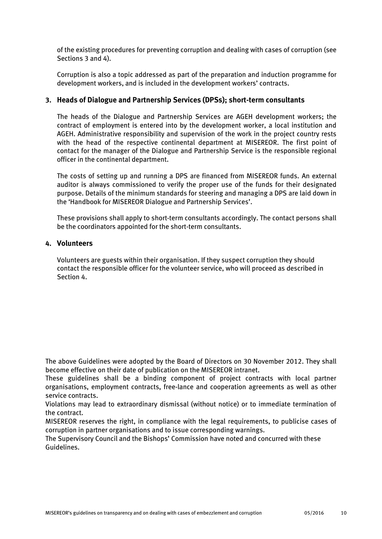of the existing procedures for preventing corruption and dealing with cases of corruption (see Sections 3 and 4).

Corruption is also a topic addressed as part of the preparation and induction programme for development workers, and is included in the development workers' contracts.

## **3. Heads of Dialogue and Partnership Services (DPSs); short-term consultants**

The heads of the Dialogue and Partnership Services are AGEH development workers; the contract of employment is entered into by the development worker, a local institution and AGEH. Administrative responsibility and supervision of the work in the project country rests with the head of the respective continental department at MISEREOR. The first point of contact for the manager of the Dialogue and Partnership Service is the responsible regional officer in the continental department.

The costs of setting up and running a DPS are financed from MISEREOR funds. An external auditor is always commissioned to verify the proper use of the funds for their designated purpose. Details of the minimum standards for steering and managing a DPS are laid down in the 'Handbook for MISEREOR Dialogue and Partnership Services'.

These provisions shall apply to short-term consultants accordingly. The contact persons shall be the coordinators appointed for the short-term consultants.

### **4. Volunteers**

Volunteers are guests within their organisation. If they suspect corruption they should contact the responsible officer for the volunteer service, who will proceed as described in Section 4.

The above Guidelines were adopted by the Board of Directors on 30 November 2012. They shall become effective on their date of publication on the MISEREOR intranet.

These guidelines shall be a binding component of project contracts with local partner organisations, employment contracts, free-lance and cooperation agreements as well as other service contracts.

Violations may lead to extraordinary dismissal (without notice) or to immediate termination of the contract.

MISEREOR reserves the right, in compliance with the legal requirements, to publicise cases of corruption in partner organisations and to issue corresponding warnings.

The Supervisory Council and the Bishops' Commission have noted and concurred with these Guidelines.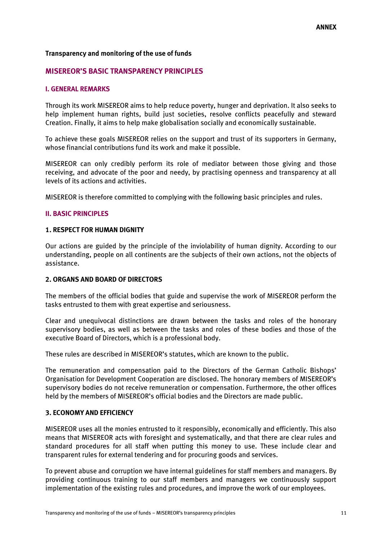### **Transparency and monitoring of the use of funds**

#### **MISEREOR'S BASIC TRANSPARENCY PRINCIPLES**

#### **I. GENERAL REMARKS**

Through its work MISEREOR aims to help reduce poverty, hunger and deprivation. It also seeks to help implement human rights, build just societies, resolve conflicts peacefully and steward Creation. Finally, it aims to help make globalisation socially and economically sustainable.

To achieve these goals MISEREOR relies on the support and trust of its supporters in Germany, whose financial contributions fund its work and make it possible.

MISEREOR can only credibly perform its role of mediator between those giving and those receiving, and advocate of the poor and needy, by practising openness and transparency at all levels of its actions and activities.

MISEREOR is therefore committed to complying with the following basic principles and rules.

#### **II. BASIC PRINCIPLES**

#### **1. RESPECT FOR HUMAN DIGNITY**

Our actions are guided by the principle of the inviolability of human dignity. According to our understanding, people on all continents are the subjects of their own actions, not the objects of assistance.

#### **2. ORGANS AND BOARD OF DIRECTORS**

The members of the official bodies that guide and supervise the work of MISEREOR perform the tasks entrusted to them with great expertise and seriousness.

Clear and unequivocal distinctions are drawn between the tasks and roles of the honorary supervisory bodies, as well as between the tasks and roles of these bodies and those of the executive Board of Directors, which is a professional body.

These rules are described in MISEREOR's statutes, which are known to the public.

The remuneration and compensation paid to the Directors of the German Catholic Bishops' Organisation for Development Cooperation are disclosed. The honorary members of MISEREOR's supervisory bodies do not receive remuneration or compensation. Furthermore, the other offices held by the members of MISEREOR's official bodies and the Directors are made public.

#### **3. ECONOMY AND EFFICIENCY**

MISEREOR uses all the monies entrusted to it responsibly, economically and efficiently. This also means that MISEREOR acts with foresight and systematically, and that there are clear rules and standard procedures for all staff when putting this money to use. These include clear and transparent rules for external tendering and for procuring goods and services.

To prevent abuse and corruption we have internal guidelines for staff members and managers. By providing continuous training to our staff members and managers we continuously support implementation of the existing rules and procedures, and improve the work of our employees.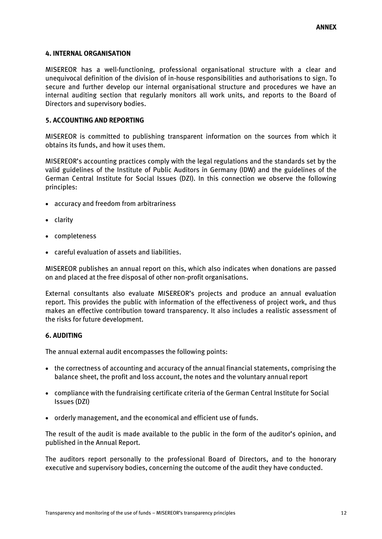### **4. INTERNAL ORGANISATION**

MISEREOR has a well-functioning, professional organisational structure with a clear and unequivocal definition of the division of in-house responsibilities and authorisations to sign. To secure and further develop our internal organisational structure and procedures we have an internal auditing section that regularly monitors all work units, and reports to the Board of Directors and supervisory bodies.

### **5. ACCOUNTING AND REPORTING**

MISEREOR is committed to publishing transparent information on the sources from which it obtains its funds, and how it uses them.

MISEREOR's accounting practices comply with the legal regulations and the standards set by the valid guidelines of the Institute of Public Auditors in Germany (IDW) and the guidelines of the German Central Institute for Social Issues (DZI). In this connection we observe the following principles:

- accuracy and freedom from arbitrariness
- clarity
- completeness
- careful evaluation of assets and liabilities.

MISEREOR publishes an annual report on this, which also indicates when donations are passed on and placed at the free disposal of other non-profit organisations.

External consultants also evaluate MISEREOR's projects and produce an annual evaluation report. This provides the public with information of the effectiveness of project work, and thus makes an effective contribution toward transparency. It also includes a realistic assessment of the risks for future development.

#### **6. AUDITING**

The annual external audit encompasses the following points:

- the correctness of accounting and accuracy of the annual financial statements, comprising the balance sheet, the profit and loss account, the notes and the voluntary annual report
- compliance with the fundraising certificate criteria of the German Central Institute for Social Issues (DZI)
- orderly management, and the economical and efficient use of funds.

The result of the audit is made available to the public in the form of the auditor's opinion, and published in the Annual Report.

The auditors report personally to the professional Board of Directors, and to the honorary executive and supervisory bodies, concerning the outcome of the audit they have conducted.